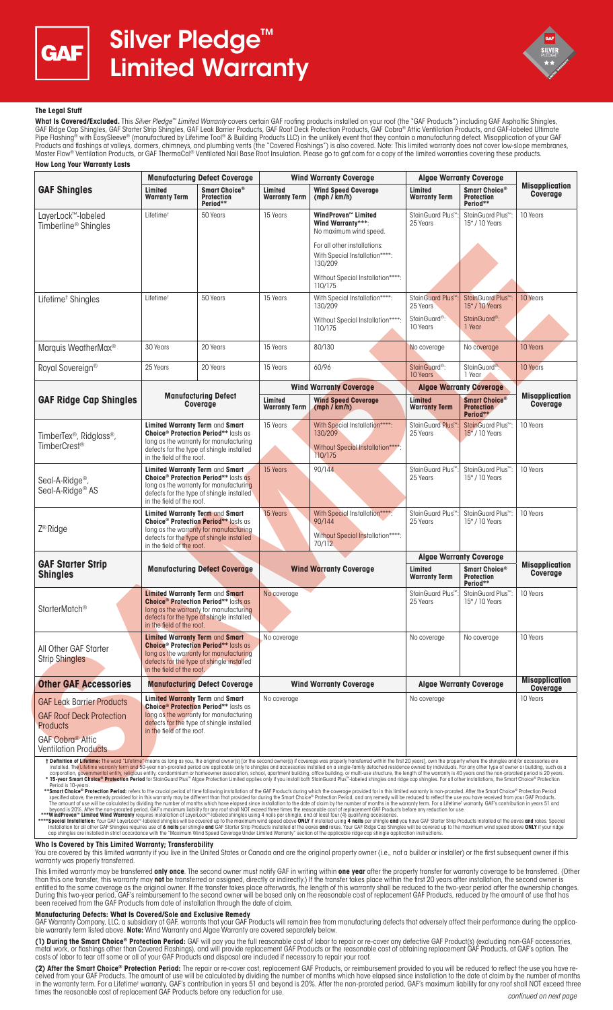



# **The Legal Stuff**

**What Is Covered/Excluded.** This *Silver Pledge™ Limited Warranty* covers certain GAF roofing products installed on your roof (the "GAF Products") including GAF Asphaltic Shingles,<br>GAF Ridge Cap Shingles, GAF Starter Stri Pipe Flashing® with EasySleeve® (manufactured by Lifetime Tool® & Building Products LLC) in the unlikely event that they contain a manufacturing defect. Misapplication of your GAF Products and flashings at valleys, dormers, chimneys, and plumbing vents (the "Covered Flashings") is also covered. Note: This limited warranty does not cover low-slope membranes, Master Flow® Ventilation Products, or GAF ThermaCal® Ventilated Nail Base Roof Insulation. Please go to gaf.com for a copy of the limited warranties covering these products. **How Long Your Warranty Lasts**

|                                                                              | <b>Manufacturing Defect Coverage</b>                                                                                                                                                                                 |                                                | <b>Wind Warranty Coverage</b>   |                                                                                                                                                                                                                                                                                                                                                                                                                                                                                                                                                                                                                                                                                                                                                                                                                                                                                                                                     | <b>Algae Warranty Coverage</b>           |                                                       |                                          |
|------------------------------------------------------------------------------|----------------------------------------------------------------------------------------------------------------------------------------------------------------------------------------------------------------------|------------------------------------------------|---------------------------------|-------------------------------------------------------------------------------------------------------------------------------------------------------------------------------------------------------------------------------------------------------------------------------------------------------------------------------------------------------------------------------------------------------------------------------------------------------------------------------------------------------------------------------------------------------------------------------------------------------------------------------------------------------------------------------------------------------------------------------------------------------------------------------------------------------------------------------------------------------------------------------------------------------------------------------------|------------------------------------------|-------------------------------------------------------|------------------------------------------|
| <b>GAF Shingles</b>                                                          | Limited<br>Warranty Term                                                                                                                                                                                             | Smart Choice®<br><b>Protection</b><br>Period** | Limited<br><b>Warranty Term</b> | <b>Wind Speed Coverage</b><br>(mph / km/h)                                                                                                                                                                                                                                                                                                                                                                                                                                                                                                                                                                                                                                                                                                                                                                                                                                                                                          | Limited<br><b>Warranty Term</b>          | Smart Choice®<br><b>Protection</b><br>Period**        | <b>Misapplication</b><br>Coverage        |
| LayerLock™-labeled<br>Timberline <sup>®</sup> Shingles                       | Lifetime <sup>t</sup>                                                                                                                                                                                                | 50 Years                                       | 15 Years                        | WindProven™ Limited<br>Wind Warranty***:<br>No maximum wind speed.                                                                                                                                                                                                                                                                                                                                                                                                                                                                                                                                                                                                                                                                                                                                                                                                                                                                  | StainGuard Plus <sup>™</sup><br>25 Years | StainGuard Plus <sup>™</sup> :<br>15*/10 Years        | 10 Years                                 |
|                                                                              |                                                                                                                                                                                                                      |                                                |                                 | For all other installations:<br>With Special Installation****:<br>130/209                                                                                                                                                                                                                                                                                                                                                                                                                                                                                                                                                                                                                                                                                                                                                                                                                                                           |                                          |                                                       |                                          |
|                                                                              |                                                                                                                                                                                                                      |                                                |                                 | Without Special Installation****:<br>110/175                                                                                                                                                                                                                                                                                                                                                                                                                                                                                                                                                                                                                                                                                                                                                                                                                                                                                        |                                          |                                                       |                                          |
| Lifetime <sup>†</sup> Shingles                                               | Lifetime <sup>t</sup>                                                                                                                                                                                                | 50 Years                                       | 15 Years                        | With Special Installation****:<br>130/209                                                                                                                                                                                                                                                                                                                                                                                                                                                                                                                                                                                                                                                                                                                                                                                                                                                                                           | StainGuard Plus <sup>™</sup><br>25 Years | StainGuard Plus <sup>™</sup> :<br>15*/10 Years        | 10 Years                                 |
|                                                                              |                                                                                                                                                                                                                      |                                                |                                 | Without Special Installation****:<br>110/175                                                                                                                                                                                                                                                                                                                                                                                                                                                                                                                                                                                                                                                                                                                                                                                                                                                                                        | StainGuard <sup>®</sup> :<br>10 Years    | StainGuard <sup>®</sup> :<br>1 Year                   |                                          |
| Marquis WeatherMax <sup>®</sup>                                              | 30 Years                                                                                                                                                                                                             | 20 Years                                       | 15 Years                        | 80/130                                                                                                                                                                                                                                                                                                                                                                                                                                                                                                                                                                                                                                                                                                                                                                                                                                                                                                                              | No coverage                              | No coverage                                           | 10 Years                                 |
| Royal Sovereign®                                                             | 25 Years                                                                                                                                                                                                             | 20 Years                                       | 15 Years                        | 60/96                                                                                                                                                                                                                                                                                                                                                                                                                                                                                                                                                                                                                                                                                                                                                                                                                                                                                                                               | StainGuard <sup>®</sup> :<br>10 Years    | StainGuard <sup>®</sup> :<br>1 Year                   | 10 Years                                 |
| <b>GAF Ridge Cap Shingles</b>                                                | <b>Manufacturing Defect</b><br><b>Coverage</b>                                                                                                                                                                       |                                                | <b>Wind Warranty Coverage</b>   |                                                                                                                                                                                                                                                                                                                                                                                                                                                                                                                                                                                                                                                                                                                                                                                                                                                                                                                                     | <b>Algae Warranty Coverage</b>           |                                                       |                                          |
|                                                                              |                                                                                                                                                                                                                      |                                                | Limited<br><b>Warranty Term</b> | <b>Wind Speed Coverage</b><br>(mph / km/h)                                                                                                                                                                                                                                                                                                                                                                                                                                                                                                                                                                                                                                                                                                                                                                                                                                                                                          | Limited<br><b>Warranty Term</b>          | <b>Smart Choice®</b><br><b>Protection</b><br>Period** | <b>Misapplication</b><br>Coverage        |
| TimberTex <sup>®</sup> , Ridglass <sup>®</sup> ,<br>TimberCrest <sup>®</sup> | Limited Warranty Term and Smart<br>Choice <sup>®</sup> Protection Period** lasts as<br>long as the warranty for manufacturing<br>defects for the type of shingle installed<br>in the field of the roof.              |                                                | 15 Years                        | With Special Installation****:<br>130/209                                                                                                                                                                                                                                                                                                                                                                                                                                                                                                                                                                                                                                                                                                                                                                                                                                                                                           | StainGuard Plus <sup>™</sup><br>25 Years | StainGuard Plus <sup>™</sup> :<br>$15*/10$ Years      | 10 Years                                 |
|                                                                              |                                                                                                                                                                                                                      |                                                |                                 | Without Special Installation****:<br>110/175                                                                                                                                                                                                                                                                                                                                                                                                                                                                                                                                                                                                                                                                                                                                                                                                                                                                                        |                                          |                                                       |                                          |
|                                                                              | Limited Warranty Term and Smart<br><b>Choice<sup>®</sup> Protection Period**</b> lasts as<br>long as the warranty for manufacturing<br>defects for the type of shingle installed<br>in the field of the roof.        |                                                | 15 Years                        | 90/144                                                                                                                                                                                                                                                                                                                                                                                                                                                                                                                                                                                                                                                                                                                                                                                                                                                                                                                              | StainGuard Plus <sup>™</sup><br>25 Years | StainGuard Plus <sup>™</sup> :<br>15*/10 Years        | 10 Years                                 |
| Seal-A-Ridge <sup>®</sup> ,<br>Seal-A-Ridge <sup>®</sup> AS                  |                                                                                                                                                                                                                      |                                                |                                 |                                                                                                                                                                                                                                                                                                                                                                                                                                                                                                                                                                                                                                                                                                                                                                                                                                                                                                                                     |                                          |                                                       |                                          |
| Z <sup>®</sup> Ridge                                                         | Limited Warranty Term and Smart<br><b>Choice<sup>®</sup> Protection Period** lasts as</b><br>long as the warranty for manufacturing<br>defects for the type of shingle installed<br>in the field of the roof.        |                                                | 15 Years                        | With Special Installation****:<br>90/144                                                                                                                                                                                                                                                                                                                                                                                                                                                                                                                                                                                                                                                                                                                                                                                                                                                                                            | StainGuard Plus <sup>™</sup><br>25 Years | StainGuard Plus <sup>™</sup> :<br>15*/10 Years        | 10 Years                                 |
|                                                                              |                                                                                                                                                                                                                      |                                                |                                 | Without Special Installation****:<br>70/112                                                                                                                                                                                                                                                                                                                                                                                                                                                                                                                                                                                                                                                                                                                                                                                                                                                                                         |                                          |                                                       |                                          |
|                                                                              | <b>Manufacturing Defect Coverage</b>                                                                                                                                                                                 |                                                | <b>Wind Warranty Coverage</b>   |                                                                                                                                                                                                                                                                                                                                                                                                                                                                                                                                                                                                                                                                                                                                                                                                                                                                                                                                     | <b>Algae Warranty Coverage</b>           |                                                       |                                          |
| <b>GAF Starter Strip</b><br><b>Shingles</b>                                  |                                                                                                                                                                                                                      |                                                |                                 |                                                                                                                                                                                                                                                                                                                                                                                                                                                                                                                                                                                                                                                                                                                                                                                                                                                                                                                                     | Limited<br><b>Warranty Term</b>          | Smart Choice®<br><b>Protection</b><br>Period**        | <b>Misapplication</b><br>Coverage        |
| StarterMatch <sup>®</sup>                                                    | <b>Limited Warranty Term and Smart</b><br><b>Choice<sup>®</sup> Protection Period** lasts as</b><br>long as the warranty for manufacturing<br>defects for the type of shingle installed<br>in the field of the roof. |                                                | No coverage                     |                                                                                                                                                                                                                                                                                                                                                                                                                                                                                                                                                                                                                                                                                                                                                                                                                                                                                                                                     | StainGuard Plus <sup>™</sup><br>25 Years | StainGuard Plus <sup>™</sup> :<br>15*/10 Years        | 10 Years                                 |
| All Other GAF Starter<br><b>Strip Shingles</b>                               | <b>Limited Warranty Term and Smart</b><br><b>Choice<sup>®</sup> Protection Period**</b> lasts as<br>long as the warranty for manufacturing<br>defects for the type of shingle installed<br>in the field of the roof. |                                                | No coverage                     |                                                                                                                                                                                                                                                                                                                                                                                                                                                                                                                                                                                                                                                                                                                                                                                                                                                                                                                                     | No coverage                              | No coverage                                           | 10 Years                                 |
| <b>Other GAF Accessories</b>                                                 | <b>Manufacturing Defect Coverage</b>                                                                                                                                                                                 |                                                | <b>Wind Warranty Coverage</b>   |                                                                                                                                                                                                                                                                                                                                                                                                                                                                                                                                                                                                                                                                                                                                                                                                                                                                                                                                     | <b>Algae Warranty Coverage</b>           |                                                       | <b>Misapplication</b><br><b>Coverage</b> |
| <b>GAF Leak Barrier Products</b>                                             | Limited Warranty Term and Smart<br><b>Choice<sup>®</sup> Protection Period**</b> lasts as<br>long as the warranty for manufacturing<br>defects for the type of shingle installed<br>in the field of the roof.        |                                                | No coverage                     |                                                                                                                                                                                                                                                                                                                                                                                                                                                                                                                                                                                                                                                                                                                                                                                                                                                                                                                                     | No coverage                              |                                                       | 10 Years                                 |
| <b>GAF Roof Deck Protection</b><br>Products                                  |                                                                                                                                                                                                                      |                                                |                                 |                                                                                                                                                                                                                                                                                                                                                                                                                                                                                                                                                                                                                                                                                                                                                                                                                                                                                                                                     |                                          |                                                       |                                          |
| GAF Cobra <sup>®</sup> Attic<br><b>Ventilation Products</b>                  |                                                                                                                                                                                                                      |                                                |                                 |                                                                                                                                                                                                                                                                                                                                                                                                                                                                                                                                                                                                                                                                                                                                                                                                                                                                                                                                     |                                          |                                                       |                                          |
| Period is 10-years.                                                          |                                                                                                                                                                                                                      |                                                |                                 | † Definition of Lifetime: The word "Lifetime" means as long as you, the original owner(s) [or the second owner(s) if coverage was properly transferred within the first 20 years], own the property where the shingles and/or<br>installed. The Lifetime warranty term and 50-year non-prorated period are applicable only to shingles and accessories installed on a single-family detached residence owned by individuals. For any other type of owner or bui<br>corporation, governmental entity, religious entity, condominium or homeowner association, school, apartment building, office building, or multi-use structure, the length of the warranty is 40 years and the non-prorated per<br>* 15-year Smart Choice® Protection Period for StainGuard Plus™ Algae Protection Limited applies only if you install both StainGuard Plus™-labeled shingles and ridge cap shingles. For all other installations, the Smart Choi |                                          |                                                       |                                          |
|                                                                              |                                                                                                                                                                                                                      |                                                |                                 | **Smart Choice® Protection Period: refers to the crucial period of time following installation of the GAF Products during which the coverage provided for in this limited warranty is non-prorated. After the Smart Choice® Pr<br>specified above, the remedy provided for in this warranty may be different than that provided for during the Smart Choice® Protection Period, and any remedy will be reduced to reflect the use you have received from your GA<br>The amount of use will be calculated by dividing the number of months which have elapsed since installation to the date of claim by the number of months in the warranty term. For a Lifetime <sup>t</sup> warranty, GAF's contribution                                                                                                                                                                                                                         |                                          |                                                       |                                          |

The amount of use will be calculated by dividing the number of months which have elapsed since installation to the date of claim by the number of months in the warranty ferm. For a Lifetime<sup>1</sup> warranty, GAF's contribution

**Who Is Covered by This Limited Warranty; Transferability**

You are covered by this limited warranty if you live in the United States or Canada and are the original property owner (i.e., not a builder or installer) or the first subsequent owner if this warranty was properly transferred.

This limited warranty may be transferred **only once**. The second owner must notify GAF in writing within **one year** after the property transfer for warranty coverage to be transferred. (Other than this one transfer, this warranty may **not** be transferred or assigned, directly or indirectly.) If the transfer takes place within the first 20 years after installation, the second owner is entitled to the same coverage as the original owner. If the transfer takes place afterwards, the length of this warranty shall be reduced to the two-year period after the ownership changes. During this two-year period, GAF's reimbursement to the second owner will be based only on the reasonable cost of replacement GAF Products, reduced by the amount of use that has been received from the GAF Products from date of installation through the date of claim.

### **Manufacturing Defects: What Is Covered/Sole and Exclusive Remedy**

GAF Warranty Company, LLC, a subsidiary of GAF, warrants that your GAF Products will remain free from manufacturing defects that adversely affect their performance during the applica-<br>ble warranty term listed above. **Note:** 

**(1) During the Smart Choice® Protection Period:** GAF will pay you the full reasonable cost of labor to repair or re-cover any defective GAF Product(s) (excluding non-GAF accessories, metal work, or flashings other than Covered Flashings), and will provide replacement GAF Products or the reasonable cost of obtaining replacement GAF Products, at GAF's option. The costs of labor to tear off some or all of your GAF Products and disposal are included if necessary to repair your roof.

**(2) After the Smart Choice® Protection Period:** The repair or re-cover cost, replacement GAF Products, or reimbursement provided to you will be reduced to reflect the use you have received from your GAF Products. The amount of use will be calculated by dividing the number of months which have elapsed since installation to the date of claim by the number of months<br>in the warranty term. For a Lifetime†